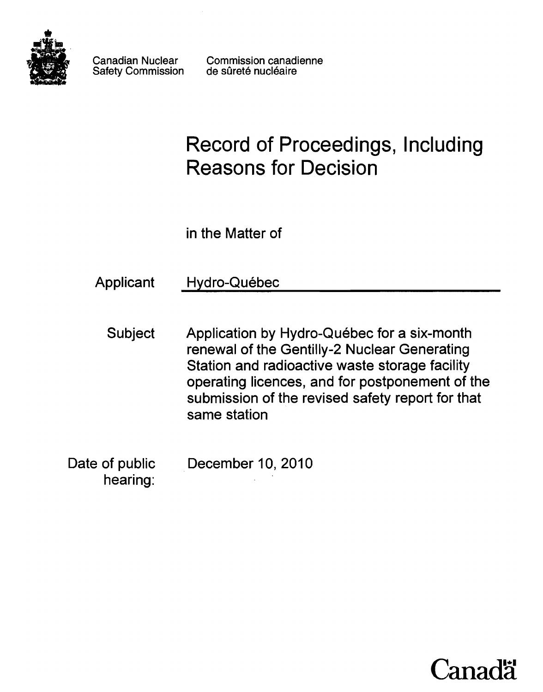

Canadian Nuclear Safety Commission Commission canadienne de sûreté nucléaire

# **Record of Proceedings, Including Reasons for Decision**

in the Matter of

Applicant Hydro-Québec

- Subject Application by Hydro-Québec for a six-month renewal of the Gentilly-2 Nuclear Generating Station and radioactive waste storage facility operating licences, and for postponement of the submission of the revised safety report for that same station
- Date of public hearing: December 10,2010

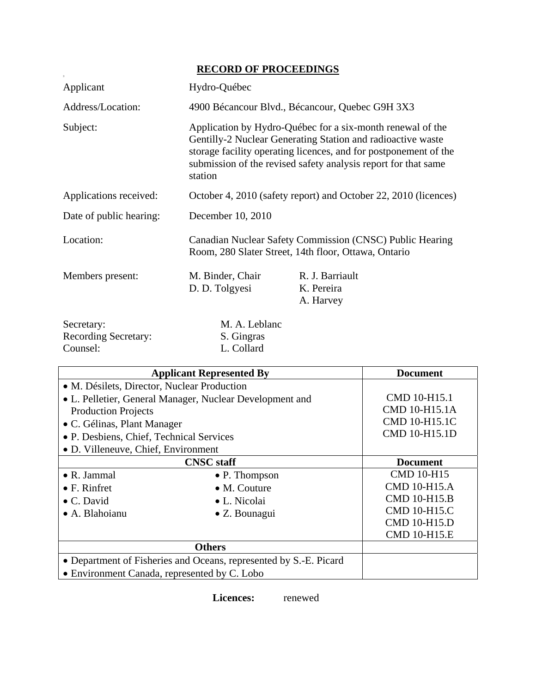## **RECORD OF PROCEEDINGS**

|                                                       | <u>RECORD OF FROCEEDINGS</u>                                                                                                                                                                                                                                               |                                            |  |
|-------------------------------------------------------|----------------------------------------------------------------------------------------------------------------------------------------------------------------------------------------------------------------------------------------------------------------------------|--------------------------------------------|--|
| Applicant                                             | Hydro-Québec                                                                                                                                                                                                                                                               |                                            |  |
| Address/Location:                                     | 4900 Bécancour Blvd., Bécancour, Quebec G9H 3X3                                                                                                                                                                                                                            |                                            |  |
| Subject:                                              | Application by Hydro-Québec for a six-month renewal of the<br>Gentilly-2 Nuclear Generating Station and radioactive waste<br>storage facility operating licences, and for postponement of the<br>submission of the revised safety analysis report for that same<br>station |                                            |  |
| Applications received:                                | October 4, 2010 (safety report) and October 22, 2010 (licences)                                                                                                                                                                                                            |                                            |  |
| Date of public hearing:                               | December 10, 2010                                                                                                                                                                                                                                                          |                                            |  |
| Location:                                             | Canadian Nuclear Safety Commission (CNSC) Public Hearing<br>Room, 280 Slater Street, 14th floor, Ottawa, Ontario                                                                                                                                                           |                                            |  |
| Members present:                                      | M. Binder, Chair<br>D. D. Tolgyesi                                                                                                                                                                                                                                         | R. J. Barriault<br>K. Pereira<br>A. Harvey |  |
| Secretary:<br><b>Recording Secretary:</b><br>Counsel: | M. A. Leblanc<br>S. Gingras<br>L. Collard                                                                                                                                                                                                                                  |                                            |  |

| <b>Applicant Represented By</b>                                   |                       | <b>Document</b>     |
|-------------------------------------------------------------------|-----------------------|---------------------|
| • M. Désilets, Director, Nuclear Production                       |                       |                     |
| • L. Pelletier, General Manager, Nuclear Development and          |                       | CMD 10-H15.1        |
| <b>Production Projects</b>                                        |                       | CMD 10-H15.1A       |
| • C. Gélinas, Plant Manager                                       |                       | CMD 10-H15.1C       |
| • P. Desbiens, Chief, Technical Services                          |                       | CMD 10-H15.1D       |
| • D. Villeneuve, Chief, Environment                               |                       |                     |
| <b>CNSC</b> staff                                                 |                       | <b>Document</b>     |
| $\bullet$ R. Jammal                                               | • P. Thompson         | <b>CMD 10-H15</b>   |
| $\bullet$ F. Rinfret                                              | $\bullet$ M. Couture  | <b>CMD 10-H15.A</b> |
| $\bullet$ C. David                                                | • L. Nicolai          | <b>CMD 10-H15.B</b> |
| • A. Blahoianu                                                    | $\bullet$ Z. Bounagui | <b>CMD 10-H15.C</b> |
|                                                                   |                       | <b>CMD 10-H15.D</b> |
|                                                                   |                       | <b>CMD 10-H15.E</b> |
| <b>Others</b>                                                     |                       |                     |
| • Department of Fisheries and Oceans, represented by S.-E. Picard |                       |                     |
| • Environment Canada, represented by C. Lobo                      |                       |                     |

 **Licences:** renewed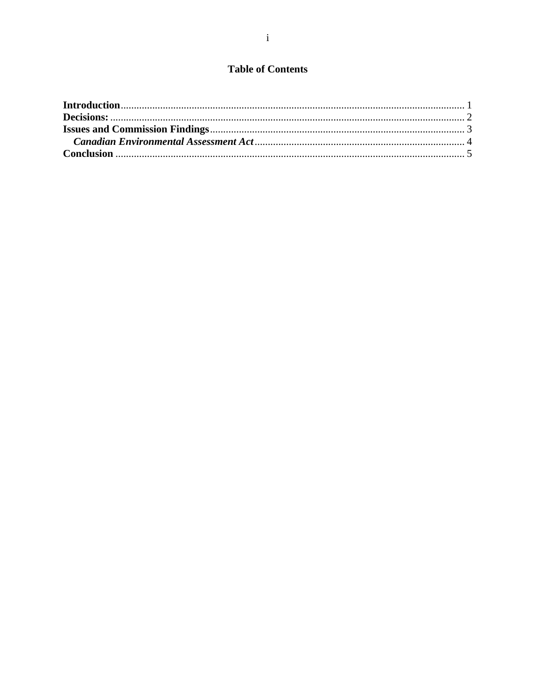### **Table of Contents**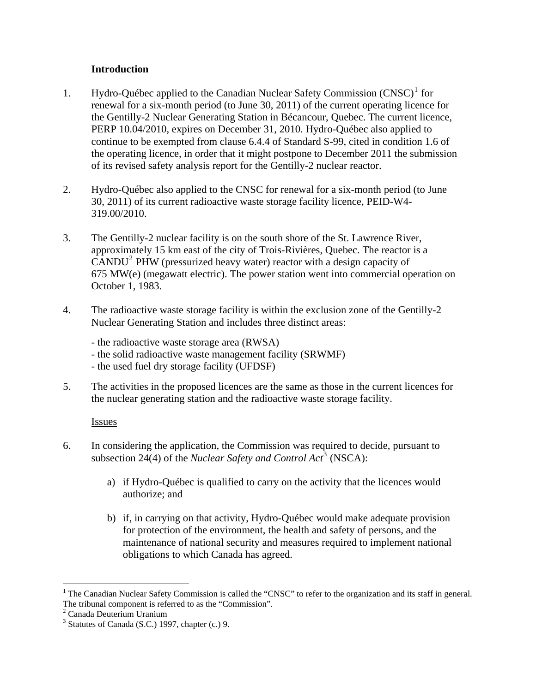#### **Introduction**

- <span id="page-3-0"></span>[1](#page-3-1). Hydro-Québec applied to the Canadian Nuclear Safety Commission (CNSC)<sup>1</sup> for renewal for a six-month period (to June 30, 2011) of the current operating licence for the Gentilly-2 Nuclear Generating Station in Bécancour, Quebec. The current licence, PERP 10.04/2010, expires on December 31, 2010. Hydro-Québec also applied to continue to be exempted from clause 6.4.4 of Standard S-99, cited in condition 1.6 of the operating licence, in order that it might postpone to December 2011 the submission of its revised safety analysis report for the Gentilly-2 nuclear reactor.
- 2. Hydro-Québec also applied to the CNSC for renewal for a six-month period (to June 30, 2011) of its current radioactive waste storage facility licence, PEID-W4- 319.00/2010.
- 3. The Gentilly-2 nuclear facility is on the south shore of the St. Lawrence River, approximately 15 km east of the city of Trois-Rivières, Quebec. The reactor is a CANDU[2](#page-3-2) PHW (pressurized heavy water) reactor with a design capacity of 675 MW(e) (megawatt electric). The power station went into commercial operation on October 1, 1983.
- 4. The radioactive waste storage facility is within the exclusion zone of the Gentilly-2 Nuclear Generating Station and includes three distinct areas:
	- the radioactive waste storage area (RWSA)
	- the solid radioactive waste management facility (SRWMF)
	- the used fuel dry storage facility (UFDSF)
- 5. The activities in the proposed licences are the same as those in the current licences for the nuclear generating station and the radioactive waste storage facility.

#### **Issues**

- 6. In considering the application, the Commission was required to decide, pursuant to subsection 24(4) of the *Nuclear Safety and Control Act*<sup>[3](#page-3-3)</sup> (NSCA):
	- a) if Hydro-Québec is qualified to carry on the activity that the licences would authorize; and
	- b) if, in carrying on that activity, Hydro-Québec would make adequate provision for protection of the environment, the health and safety of persons, and the maintenance of national security and measures required to implement national obligations to which Canada has agreed.

 $\overline{a}$ 

<span id="page-3-1"></span><sup>&</sup>lt;sup>1</sup> The Canadian Nuclear Safety Commission is called the "CNSC" to refer to the organization and its staff in general. The tribunal component is referred to as the "Commission".

<span id="page-3-2"></span><sup>2</sup> Canada Deuterium Uranium

<span id="page-3-3"></span> $3$  Statutes of Canada (S.C.) 1997, chapter (c.) 9.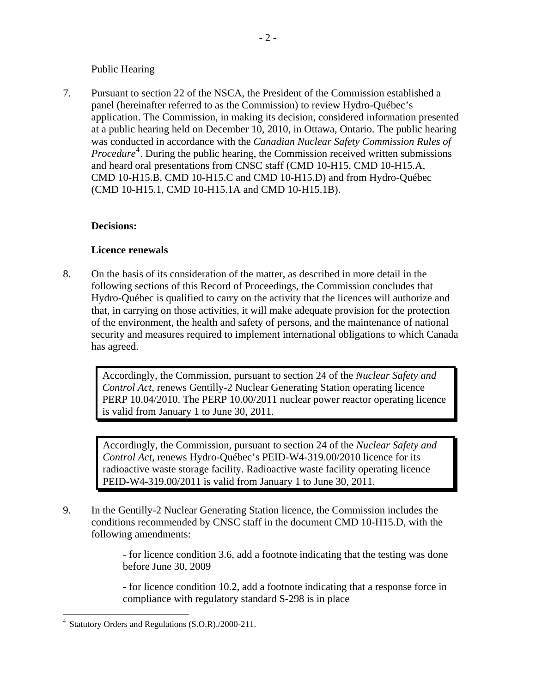#### Public Hearing

<span id="page-4-0"></span>7. Pursuant to section 22 of the NSCA, the President of the Commission established a panel (hereinafter referred to as the Commission) to review Hydro-Québec's application. The Commission, in making its decision, considered information presented at a public hearing held on December 10, 2010, in Ottawa, Ontario. The public hearing was conducted in accordance with the *Canadian Nuclear Safety Commission Rules of Procedure*<sup>[4](#page-4-1)</sup>. During the public hearing, the Commission received written submissions and heard oral presentations from CNSC staff (CMD 10-H15, CMD 10-H15.A, CMD 10-H15.B, CMD 10-H15.C and CMD 10-H15.D) and from Hydro-Québec (CMD 10-H15.1, CMD 10-H15.1A and CMD 10-H15.1B).

#### **Decisions:**

#### **Licence renewals**

8. On the basis of its consideration of the matter, as described in more detail in the following sections of this Record of Proceedings, the Commission concludes that Hydro-Québec is qualified to carry on the activity that the licences will authorize and that, in carrying on those activities, it will make adequate provision for the protection of the environment, the health and safety of persons, and the maintenance of national security and measures required to implement international obligations to which Canada has agreed.

Accordingly, the Commission, pursuant to section 24 of the *Nuclear Safety and Control Act*, renews Gentilly-2 Nuclear Generating Station operating licence PERP 10.04/2010. The PERP 10.00/2011 nuclear power reactor operating licence is valid from January 1 to June 30, 2011.

Accordingly, the Commission, pursuant to section 24 of the *Nuclear Safety and Control Act*, renews Hydro-Québec's PEID-W4-319.00/2010 licence for its radioactive waste storage facility. Radioactive waste facility operating licence PEID-W4-319.00/2011 is valid from January 1 to June 30, 2011.

9. In the Gentilly-2 Nuclear Generating Station licence, the Commission includes the conditions recommended by CNSC staff in the document CMD 10-H15.D, with the following amendments:

> - for licence condition 3.6, add a footnote indicating that the testing was done before June 30, 2009

> - for licence condition 10.2, add a footnote indicating that a response force in compliance with regulatory standard S-298 is in place

 $\overline{a}$ 

<span id="page-4-1"></span>Statutory Orders and Regulations (S.O.R)./2000-211.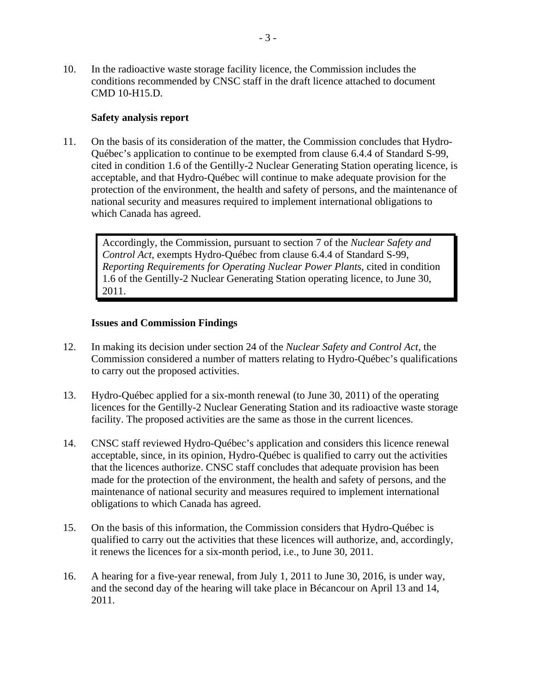<span id="page-5-0"></span>10. In the radioactive waste storage facility licence, the Commission includes the conditions recommended by CNSC staff in the draft licence attached to document CMD 10-H15.D.

#### **Safety analysis report**

11. On the basis of its consideration of the matter, the Commission concludes that Hydro-Québec's application to continue to be exempted from clause 6.4.4 of Standard S-99, cited in condition 1.6 of the Gentilly-2 Nuclear Generating Station operating licence, is acceptable, and that Hydro-Québec will continue to make adequate provision for the protection of the environment, the health and safety of persons, and the maintenance of national security and measures required to implement international obligations to which Canada has agreed.

Accordingly, the Commission, pursuant to section 7 of the *Nuclear Safety and Control Act*, exempts Hydro-Québec from clause 6.4.4 of Standard S-99, *Reporting Requirements for Operating Nuclear Power Plants*, cited in condition 1.6 of the Gentilly-2 Nuclear Generating Station operating licence, to June 30, 2011.

#### **Issues and Commission Findings**

- 12. In making its decision under section 24 of the *Nuclear Safety and Control Act*, the Commission considered a number of matters relating to Hydro-Québec's qualifications to carry out the proposed activities.
- 13. Hydro-Québec applied for a six-month renewal (to June 30, 2011) of the operating licences for the Gentilly-2 Nuclear Generating Station and its radioactive waste storage facility. The proposed activities are the same as those in the current licences.
- 14. CNSC staff reviewed Hydro-Québec's application and considers this licence renewal acceptable, since, in its opinion, Hydro-Québec is qualified to carry out the activities that the licences authorize. CNSC staff concludes that adequate provision has been made for the protection of the environment, the health and safety of persons, and the maintenance of national security and measures required to implement international obligations to which Canada has agreed.
- 15. On the basis of this information, the Commission considers that Hydro-Québec is qualified to carry out the activities that these licences will authorize, and, accordingly, it renews the licences for a six-month period, i.e., to June 30, 2011.
- 16. A hearing for a five-year renewal, from July 1, 2011 to June 30, 2016, is under way, and the second day of the hearing will take place in Bécancour on April 13 and 14, 2011.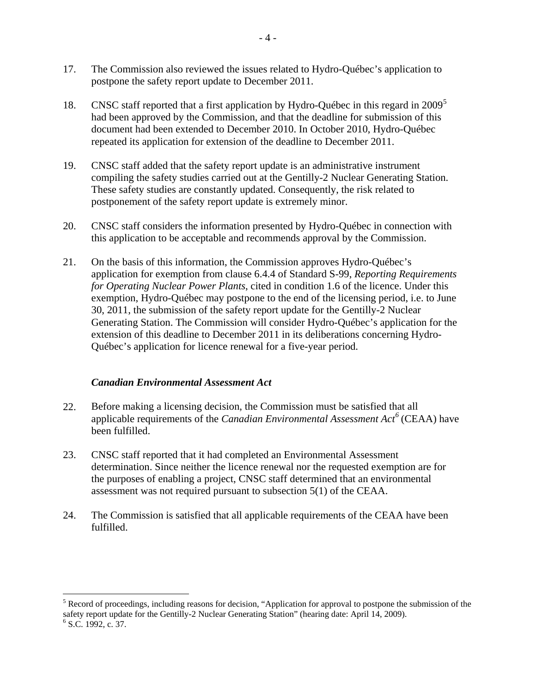- <span id="page-6-0"></span>17. The Commission also reviewed the issues related to Hydro-Québec's application to postpone the safety report update to December 2011.
- 18. CNSC staff reported that a first application by Hydro-Québec in this regard in 2009<sup>[5](#page-6-1)</sup> had been approved by the Commission, and that the deadline for submission of this document had been extended to December 2010. In October 2010, Hydro-Québec repeated its application for extension of the deadline to December 2011.
- 19. CNSC staff added that the safety report update is an administrative instrument compiling the safety studies carried out at the Gentilly-2 Nuclear Generating Station. These safety studies are constantly updated. Consequently, the risk related to postponement of the safety report update is extremely minor.
- 20. CNSC staff considers the information presented by Hydro-Québec in connection with this application to be acceptable and recommends approval by the Commission.
- 21. On the basis of this information, the Commission approves Hydro-Québec's application for exemption from clause 6.4.4 of Standard S-99, *Reporting Requirements for Operating Nuclear Power Plants*, cited in condition 1.6 of the licence. Under this exemption, Hydro-Québec may postpone to the end of the licensing period, i.e. to June 30, 2011, the submission of the safety report update for the Gentilly-2 Nuclear Generating Station. The Commission will consider Hydro-Québec's application for the extension of this deadline to December 2011 in its deliberations concerning Hydro-Québec's application for licence renewal for a five-year period.

#### *Canadian Environmental Assessment Act*

- 22. Before making a licensing decision, the Commission must be satisfied that all applicable requirements of the *Canadian Environmental Assessment Act[6](#page-6-2)* (CEAA) have been fulfilled.
- 23. CNSC staff reported that it had completed an Environmental Assessment determination. Since neither the licence renewal nor the requested exemption are for the purposes of enabling a project, CNSC staff determined that an environmental assessment was not required pursuant to subsection 5(1) of the CEAA.
- 24. The Commission is satisfied that all applicable requirements of the CEAA have been fulfilled.

 $\overline{a}$ 

<span id="page-6-1"></span><sup>&</sup>lt;sup>5</sup> Record of proceedings, including reasons for decision, "Application for approval to postpone the submission of the safety report update for the Gentilly-2 Nuclear Generating Station" (hearing date: April 14, 2009).

<span id="page-6-2"></span> $<sup>6</sup>$  S.C. 1992, c. 37.</sup>